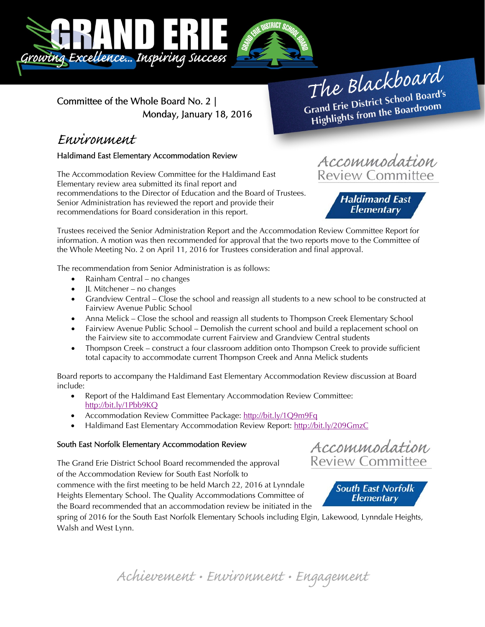

The Blackboard The Burnor<br>Grand Erie District School Board's<br>Lite from the Boardroom rand Erie District School Board<br>Highlights from the Boardroom

## Environment

### Haldimand East Elementary Accommodation Review

Committee of the Whole Board No. 2 |

The Accommodation Review Committee for the Haldimand East Elementary review area submitted its final report and recommendations to the Director of Education and the Board of Trustees. Senior Administration has reviewed the report and provide their recommendations for Board consideration in this report.

Monday, January 18, 2016

Accommodation **Review Committee** 



Trustees received the Senior Administration Report and the Accommodation Review Committee Report for information. A motion was then recommended for approval that the two reports move to the Committee of the Whole Meeting No. 2 on April 11, 2016 for Trustees consideration and final approval.

The recommendation from Senior Administration is as follows:

- Rainham Central no changes
- JL Mitchener no changes
- Grandview Central Close the school and reassign all students to a new school to be constructed at Fairview Avenue Public School
- Anna Melick Close the school and reassign all students to Thompson Creek Elementary School
- Fairview Avenue Public School Demolish the current school and build a replacement school on the Fairview site to accommodate current Fairview and Grandview Central students
- Thompson Creek construct a four classroom addition onto Thompson Creek to provide sufficient total capacity to accommodate current Thompson Creek and Anna Melick students

Board reports to accompany the Haldimand East Elementary Accommodation Review discussion at Board include:

- Report of the Haldimand East Elementary Accommodation Review Committee: http://bit.ly/1Pbb9KQ
- Accommodation Review Committee Package: http://bit.ly/1Q9m9Fq
- Haldimand East Elementary Accommodation Review Report: http://bit.ly/209GmzC

#### South East Norfolk Elementary Accommodation Review

The Grand Erie District School Board recommended the approval of the Accommodation Review for South East Norfolk to

commence with the first meeting to be held March 22, 2016 at Lynndale Heights Elementary School. The Quality Accommodations Committee of the Board recommended that an accommodation review be initiated in the

spring of 2016 for the South East Norfolk Elementary Schools including Elgin, Lakewood, Lynndale Heights, Walsh and West Lynn.





Achievement • Environment • Engagement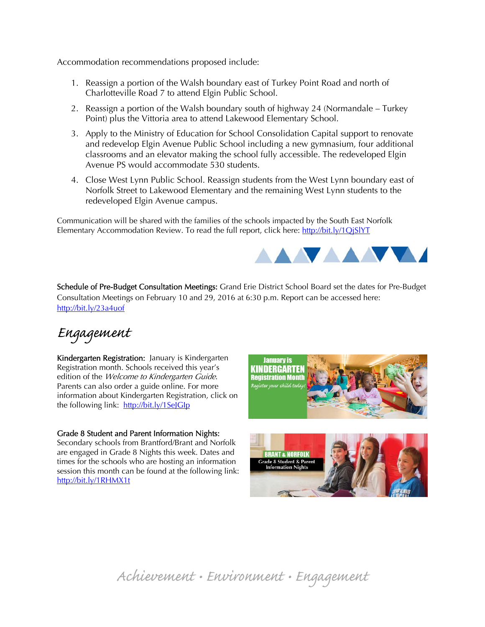Accommodation recommendations proposed include:

- 1. Reassign a portion of the Walsh boundary east of Turkey Point Road and north of Charlotteville Road 7 to attend Elgin Public School.
- 2. Reassign a portion of the Walsh boundary south of highway 24 (Normandale Turkey Point) plus the Vittoria area to attend Lakewood Elementary School.
- 3. Apply to the Ministry of Education for School Consolidation Capital support to renovate and redevelop Elgin Avenue Public School including a new gymnasium, four additional classrooms and an elevator making the school fully accessible. The redeveloped Elgin Avenue PS would accommodate 530 students.
- 4. Close West Lynn Public School. Reassign students from the West Lynn boundary east of Norfolk Street to Lakewood Elementary and the remaining West Lynn students to the redeveloped Elgin Avenue campus.

Communication will be shared with the families of the schools impacted by the South East Norfolk Elementary Accommodation Review. To read the full report, click here: http://bit.ly/1QjSlYT



Schedule of Pre-Budget Consultation Meetings: Grand Erie District School Board set the dates for Pre-Budget Consultation Meetings on February 10 and 29, 2016 at 6:30 p.m. Report can be accessed here: http://bit.ly/23a4uof

# Engagement

Kindergarten Registration: January is Kindergarten Registration month. Schools received this year's edition of the Welcome to Kindergarten Guide. Parents can also order a guide online. For more information about Kindergarten Registration, click on the following link: http://bit.ly/1SeJGIp

#### Grade 8 Student and Parent Information Nights:

Secondary schools from Brantford/Brant and Norfolk are engaged in Grade 8 Nights this week. Dates and times for the schools who are hosting an information session this month can be found at the following link: http://bit.ly/1RHMX1t





Achievement • Environment • Engagement